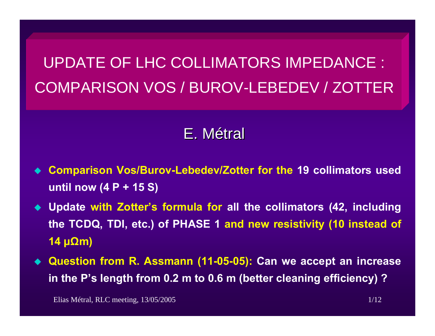# UPDATE OF LHC COLLIMATORS IMPEDANCE : COMPARISON VOS / BUROV-LEBEDEV / ZOTTER

## E.Métral

- ♦ **Comparison Vos/Burov-Lebedev/Zotter for the 19 collimators used until now (4 P + 15 S)**
- **Update with Zotter's formula for all the collimators (42, including the TCDQ, TDI, etc.) of PHASE 1 and new resistivity (10 instead of 14 µ Ωm)**
- ♦ **Question from R. Assmann (11-05-05): Can we accept an increase in the P's length from 0.2 m to 0.6 m (better cleaning efficiency) ?**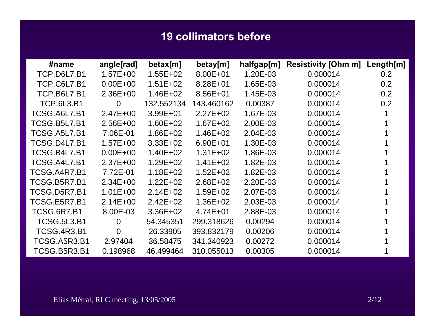#### **19 collimators before**

| #name               | angle[rad]     | betax[m]     | betay[m]     | halfgap[m] | <b>Resistivity [Ohm m]</b> | Length[m] |
|---------------------|----------------|--------------|--------------|------------|----------------------------|-----------|
| <b>TCP.D6L7.B1</b>  | $1.57E + 00$   | $1.55E + 02$ | $8.00E + 01$ | 1.20E-03   | 0.000014                   | 0.2       |
| <b>TCP.C6L7.B1</b>  | $0.00E + 00$   | $1.51E + 02$ | $8.28E + 01$ | 1.65E-03   | 0.000014                   | 0.2       |
| <b>TCP.B6L7.B1</b>  | $2.36E + 00$   | $1.46E + 02$ | 8.56E+01     | 1.45E-03   | 0.000014                   | 0.2       |
| <b>TCP.6L3.B1</b>   | $\overline{0}$ | 132.552134   | 143.460162   | 0.00387    | 0.000014                   | 0.2       |
| TCSG.A6L7.B1        | $2.47E + 00$   | $3.99E + 01$ | $2.27E + 02$ | 1.67E-03   | 0.000014                   |           |
| <b>TCSG.B5L7.B1</b> | $2.56E + 00$   | $1.60E + 02$ | $1.67E + 02$ | 2.00E-03   | 0.000014                   |           |
| <b>TCSG.A5L7.B1</b> | 7.06E-01       | $1.86E + 02$ | $1.46E + 02$ | 2.04E-03   | 0.000014                   |           |
| <b>TCSG.D4L7.B1</b> | $1.57E + 00$   | $3.33E + 02$ | $6.90E + 01$ | 1.30E-03   | 0.000014                   |           |
| <b>TCSG.B4L7.B1</b> | $0.00E + 00$   | $1.40E + 02$ | $1.31E + 02$ | 1.86E-03   | 0.000014                   |           |
| TCSG.A4L7.B1        | $2.37E + 00$   | $1.29E + 02$ | $1.41E + 02$ | 1.82E-03   | 0.000014                   |           |
| TCSG.A4R7.B1        | 7.72E-01       | $1.18E + 02$ | $1.52E + 02$ | 1.82E-03   | 0.000014                   |           |
| TCSG.B5R7.B1        | $2.34E + 00$   | $1.22E + 02$ | $2.68E + 02$ | 2.20E-03   | 0.000014                   |           |
| TCSG.D5R7.B1        | $1.01E + 00$   | $2.14E + 02$ | $1.59E + 02$ | 2.07E-03   | 0.000014                   |           |
| TCSG.E5R7.B1        | $2.14E + 00$   | $2.42E + 02$ | $1.36E + 02$ | 2.03E-03   | 0.000014                   |           |
| <b>TCSG.6R7.B1</b>  | 8.00E-03       | $3.36E + 02$ | $4.74E + 01$ | 2.88E-03   | 0.000014                   |           |
| <b>TCSG.5L3.B1</b>  | $\Omega$       | 54.345351    | 299.318626   | 0.00294    | 0.000014                   |           |
| <b>TCSG.4R3.B1</b>  | $\overline{0}$ | 26.33905     | 393.832179   | 0.00206    | 0.000014                   |           |
| TCSG.A5R3.B1        | 2.97404        | 36.58475     | 341.340923   | 0.00272    | 0.000014                   |           |
| TCSG.B5R3.B1        | 0.198968       | 46.499464    | 310.055013   | 0.00305    | 0.000014                   |           |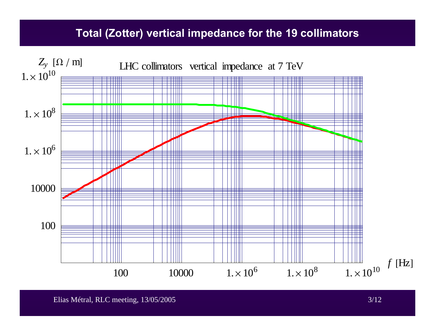### **Total (Zotter) vertical impedance for the 19 collimators**

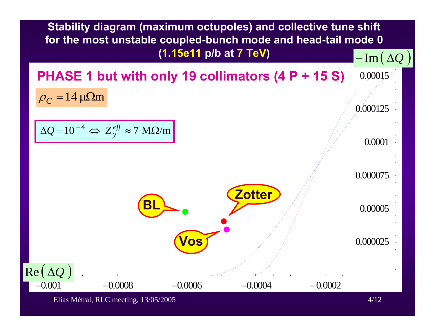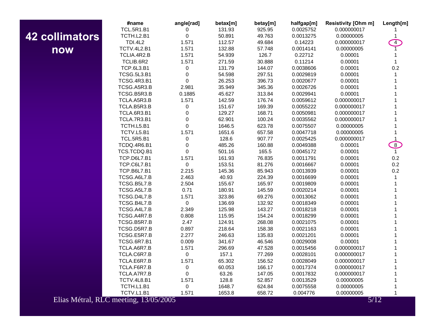## **42 collimators now**

|                   | #name                                 | angle[rad]  | betax[m] | betay[m] | halfgap[m] | <b>Resistivity [Ohm m]</b> | Length[m]      |
|-------------------|---------------------------------------|-------------|----------|----------|------------|----------------------------|----------------|
|                   | <b>TCL.5R1.B1</b>                     | 0           | 131.93   | 925.95   | 0.0025752  | 0.000000017                |                |
| <b>Illimators</b> | TCTH.L2.B1                            | $\mathbf 0$ | 50.891   | 49.763   | 0.0013275  | 0.00000005                 |                |
|                   | <b>TDI.4L2</b>                        | 1.571       | 112.57   | 49.684   | 0.14223    | 0.000000017                | $\overline{4}$ |
| now               | TCTV.4L2.B1                           | 1.571       | 132.88   | 57.748   | 0.0014141  | 0.00000005                 |                |
|                   | TCLIA.4R2.B                           | 1.571       | 54.939   | 126.7    | 0.22712    | 0.00001                    |                |
|                   | TCLIB.6R2                             | 1.571       | 271.59   | 30.888   | 0.11214    | 0.00001                    | 1              |
|                   | <b>TCP.6L3.B1</b>                     | 0           | 131.79   | 144.07   | 0.0038606  | 0.00001                    | 0.2            |
|                   | <b>TCSG.5L3.B1</b>                    | 0           | 54.598   | 297.51   | 0.0029819  | 0.00001                    | 1              |
|                   | <b>TCSG.4R3.B1</b>                    | 0           | 26.253   | 396.73   | 0.0020677  | 0.00001                    |                |
|                   | TCSG.A5R3.B                           | 2.981       | 35.949   | 345.36   | 0.0026726  | 0.00001                    |                |
|                   | TCSG.B5R3.B                           | 0.1885      | 45.627   | 313.84   | 0.0029941  | 0.00001                    |                |
|                   | TCLA.A5R3.B                           | 1.571       | 142.59   | 176.74   | 0.0059612  | 0.000000017                |                |
|                   | TCLA.B5R3.B                           | 0           | 151.67   | 169.39   | 0.0055222  | 0.000000017                |                |
|                   | TCLA.6R3.B1                           | $\mathbf 0$ | 129.27   | 168.71   | 0.0050981  | 0.000000017                |                |
|                   | TCLA.7R3.B1                           | 0           | 62.901   | 100.24   | 0.0035562  | 0.000000017                |                |
|                   | TCTH.L5.B1                            | 0           | 1646.5   | 623.78   | 0.0075507  | 0.00000005                 |                |
|                   | TCTV.L5.B1                            | 1.571       | 1651.6   | 657.58   | 0.0047718  | 0.00000005                 |                |
|                   | <b>TCL.5R5.B1</b>                     | 0           | 128.6    | 907.77   | 0.0025425  | 0.000000017                | $\mathbf{1}$   |
|                   | TCDQ.4R6.B1                           | 0           | 485.26   | 160.88   | 0.0049388  | 0.00001                    | $\boxed{8}$    |
|                   | TCS.TCDQ.B1                           | 0           | 501.16   | 165.5    | 0.0045172  | 0.00001                    | $\mathbf{1}$   |
|                   | TCP.D6L7.B1                           | 1.571       | 161.93   | 76.835   | 0.0011791  | 0.00001                    | 0.2            |
|                   | <b>TCP.C6L7.B1</b>                    | $\mathbf 0$ | 153.51   | 81.276   | 0.0016667  | 0.00001                    | 0.2            |
|                   | <b>TCP.B6L7.B1</b>                    | 2.215       | 145.36   | 85.943   | 0.0013939  | 0.00001                    | 0.2            |
|                   | TCSG.A6L7.B                           | 2.463       | 40.93    | 224.39   | 0.0016699  | 0.00001                    | 1              |
|                   | TCSG.B5L7.B                           | 2.504       | 155.67   | 165.97   | 0.0019809  | 0.00001                    |                |
|                   | TCSG.A5L7.B                           | 0.71        | 180.91   | 145.59   | 0.0020214  | 0.00001                    |                |
|                   | TCSG.D4L7.B                           | 1.571       | 323.86   | 69.276   | 0.0013062  | 0.00001                    |                |
|                   | TCSG.B4L7.B                           | $\mathbf 0$ | 136.69   | 132.92   | 0.0018349  | 0.00001                    |                |
|                   | TCSG.A4L7.B                           | 2.349       | 125.98   | 143.27   | 0.0018218  | 0.00001                    |                |
|                   | TCSG.A4R7.B                           | 0.808       | 115.95   | 154.24   | 0.0018299  | 0.00001                    |                |
|                   | TCSG.B5R7.B                           | 2.47        | 124.91   | 268.08   | 0.0021075  | 0.00001                    |                |
|                   | TCSG.D5R7.B                           | 0.897       | 218.64   | 158.38   | 0.0021163  | 0.00001                    |                |
|                   | TCSG.E5R7.B                           | 2.277       | 246.63   | 135.83   | 0.0021201  | 0.00001                    |                |
|                   | <b>TCSG.6R7.B1</b>                    | 0.009       | 341.67   | 46.546   | 0.0029008  | 0.00001                    |                |
|                   | TCLA.A6R7.B                           | 1.571       | 296.69   | 47.528   | 0.0015456  | 0.000000017                |                |
|                   | TCLA.C6R7.B                           | 0           | 157.1    | 77.269   | 0.0028101  | 0.000000017                |                |
|                   | TCLA.E6R7.B                           | 1.571       | 65.302   | 156.52   | 0.0028049  | 0.000000017                |                |
|                   | TCLA.F6R7.B                           | 0           | 60.053   | 166.17   | 0.0017374  | 0.000000017                |                |
|                   | TCLA.A7R7.B                           | 0           | 63.26    | 147.05   | 0.0017832  | 0.000000017                |                |
|                   | TCTV.4L8.B1                           | 1.571       | 128.8    | 52.857   | 0.0013529  | 0.00000005                 |                |
|                   | TCTH.L1.B1                            | 0           | 1648.7   | 624.84   | 0.0075558  | 0.00000005                 |                |
|                   | TCTV.L1.B1                            | 1.571       | 1653.8   | 658.72   | 0.004776   | 0.00000005                 |                |
|                   | Elias Métral, RLC meeting, 13/05/2005 |             |          |          |            | 5/12                       |                |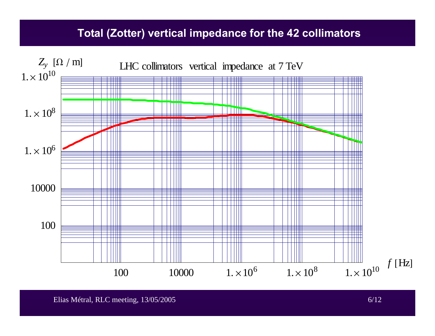#### **Total (Zotter) vertical impedance for the 42 collimators**

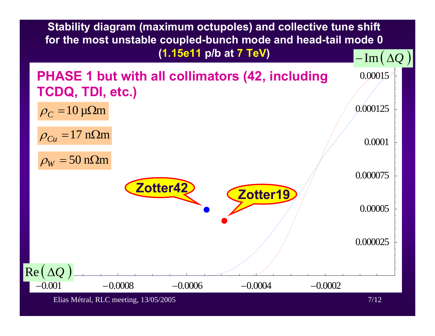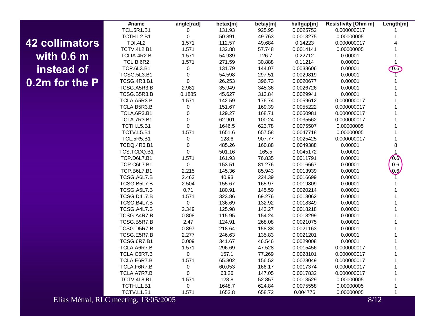## **42 collimators with 0.6 m instead of 0.2m for the P**

| #name              | angle[rad]          | betax[m] | betay[m] | halfgap[m] | Resistivity [Ohm m] | Length[m]     |
|--------------------|---------------------|----------|----------|------------|---------------------|---------------|
| <b>TCL.5R1.B1</b>  | 0                   | 131.93   | 925.95   | 0.0025752  | 0.000000017         | 1             |
| TCTH.L2.B1         | $\mathsf{O}\xspace$ | 50.891   | 49.763   | 0.0013275  | 0.00000005          | $\mathbf{1}$  |
| <b>TDI.4L2</b>     | 1.571               | 112.57   | 49.684   | 0.14223    | 0.000000017         | 4             |
| TCTV.4L2.B1        | 1.571               | 132.88   | 57.748   | 0.0014141  | 0.00000005          | 1             |
| TCLIA.4R2.B        | 1.571               | 54.939   | 126.7    | 0.22712    | 0.00001             | 1             |
| TCLIB.6R2          | 1.571               | 271.59   | 30.888   | 0.11214    | 0.00001             | $\mathbf{1}$  |
| <b>TCP.6L3.B1</b>  | 0                   | 131.79   | 144.07   | 0.0038606  | 0.00001             | $\boxed{0.6}$ |
| <b>TCSG.5L3.B1</b> | 0                   | 54.598   | 297.51   | 0.0029819  | 0.00001             |               |
| <b>TCSG.4R3.B1</b> | $\mathbf 0$         | 26.253   | 396.73   | 0.0020677  | 0.00001             |               |
| TCSG.A5R3.B        | 2.981               | 35.949   | 345.36   | 0.0026726  | 0.00001             |               |
| TCSG.B5R3.B        | 0.1885              | 45.627   | 313.84   | 0.0029941  | 0.00001             | 1             |
| TCLA.A5R3.B        | 1.571               | 142.59   | 176.74   | 0.0059612  | 0.000000017         | 1             |
| TCLA.B5R3.B        | 0                   | 151.67   | 169.39   | 0.0055222  | 0.000000017         | 1             |
| TCLA.6R3.B1        | 0                   | 129.27   | 168.71   | 0.0050981  | 0.000000017         | 1             |
| TCLA.7R3.B1        | $\mathbf 0$         | 62.901   | 100.24   | 0.0035562  | 0.000000017         | 1             |
| TCTH.L5.B1         | $\mathsf 0$         | 1646.5   | 623.78   | 0.0075507  | 0.00000005          | 1             |
| TCTV.L5.B1         | 1.571               | 1651.6   | 657.58   | 0.0047718  | 0.00000005          | 1             |
| <b>TCL.5R5.B1</b>  | 0                   | 128.6    | 907.77   | 0.0025425  | 0.000000017         | 1             |
| TCDQ.4R6.B1        | $\mathbf 0$         | 485.26   | 160.88   | 0.0049388  | 0.00001             | 8             |
| TCS.TCDQ.B1        | 0                   | 501.16   | 165.5    | 0.0045172  | 0.00001             | 1             |
| TCP.D6L7.B1        | 1.571               | 161.93   | 76.835   | 0.0011791  | 0.00001             | 0.6           |
| <b>TCP.C6L7.B1</b> | 0                   | 153.51   | 81.276   | 0.0016667  | 0.00001             | 0.6           |
| <b>TCP.B6L7.B1</b> | 2.215               | 145.36   | 85.943   | 0.0013939  | 0.00001             | 0.6           |
| TCSG.A6L7.B        | 2.463               | 40.93    | 224.39   | 0.0016699  | 0.00001             |               |
| TCSG.B5L7.B        | 2.504               | 155.67   | 165.97   | 0.0019809  | 0.00001             |               |
| TCSG.A5L7.B        | 0.71                | 180.91   | 145.59   | 0.0020214  | 0.00001             |               |
| TCSG.D4L7.B        | 1.571               | 323.86   | 69.276   | 0.0013062  | 0.00001             |               |
| TCSG.B4L7.B        | $\pmb{0}$           | 136.69   | 132.92   | 0.0018349  | 0.00001             |               |
| TCSG.A4L7.B        | 2.349               | 125.98   | 143.27   | 0.0018218  | 0.00001             |               |
| TCSG.A4R7.B        | 0.808               | 115.95   | 154.24   | 0.0018299  | 0.00001             | 1             |
| TCSG.B5R7.B        | 2.47                | 124.91   | 268.08   | 0.0021075  | 0.00001             | 1             |
| TCSG.D5R7.B        | 0.897               | 218.64   | 158.38   | 0.0021163  | 0.00001             | 1             |
| TCSG.E5R7.B        | 2.277               | 246.63   | 135.83   | 0.0021201  | 0.00001             | 1             |
| <b>TCSG.6R7.B1</b> | 0.009               | 341.67   | 46.546   | 0.0029008  | 0.00001             | 1             |
| TCLA.A6R7.B        | 1.571               | 296.69   | 47.528   | 0.0015456  | 0.000000017         | 1             |
| TCLA.C6R7.B        | $\pmb{0}$           | 157.1    | 77.269   | 0.0028101  | 0.000000017         | 1             |
| TCLA.E6R7.B        | 1.571               | 65.302   | 156.52   | 0.0028049  | 0.000000017         | 1             |
| TCLA.F6R7.B        | $\pmb{0}$           | 60.053   | 166.17   | 0.0017374  | 0.000000017         | 1             |
| TCLA.A7R7.B        | $\mathbf 0$         | 63.26    | 147.05   | 0.0017832  | 0.000000017         | 1             |
| TCTV.4L8.B1        | 1.571               | 128.8    | 52.857   | 0.0013529  | 0.00000005          | 1             |
| TCTH.L1.B1         | 0                   | 1648.7   | 624.84   | 0.0075558  | 0.00000005          | 1             |
| TCTV.L1.B1         | 1.571               | 1653.8   | 658.72   | 0.004776   | 0.00000005          | $\mathbf{1}$  |

Elias Métral, RLC meeting, 13/05/2005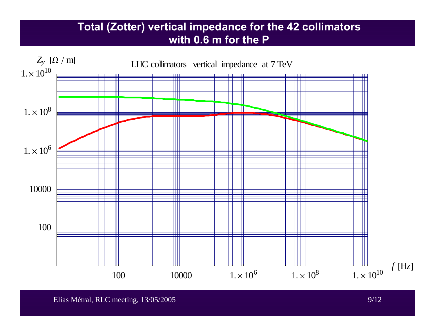## **Total (Zotter) vertical impedance for the 42 collimators with 0.6 m for the P**

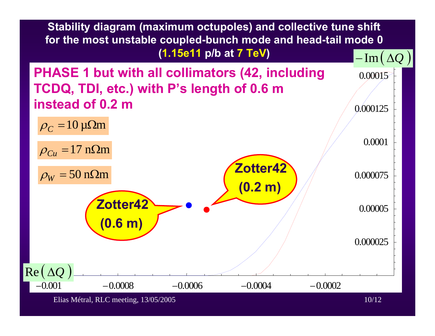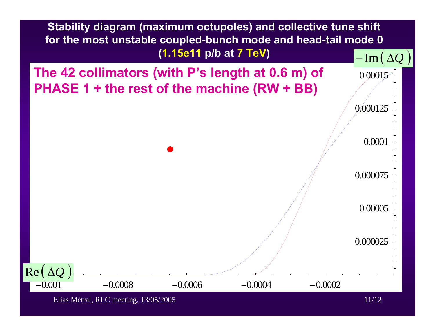